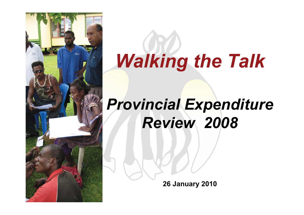

# *Walking the Talk*

# *Provincial Expenditure Review 2008*

**26 January 2010**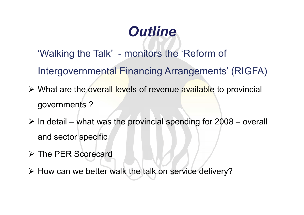# *Outline*

- 'Walking the Talk' monitors the 'Reform of
- Intergovernmental Financing Arrangements' (RIGFA)
- > What are the overall levels of revenue available to provincial governments ?
- $\triangleright$  In detail what was the provincial spending for 2008 overall and sector specific
- **► The PER Scorecard**
- > How can we better walk the talk on service delivery?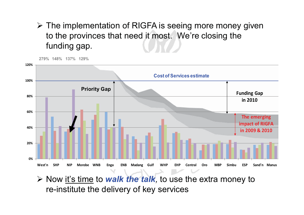#### > The implementation of RIGFA is seeing more money given to the provinces that need it most. We're closing the funding gap.



**≻** Now <u>it's time</u> to *walk the talk*, to use the extra money to re-institute the delivery of key services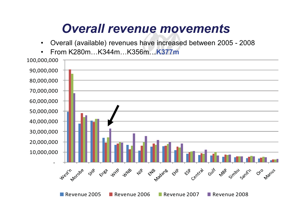#### *Overall revenue movements*

- $\bullet$ Overall (available) revenues have increased between 2005 - 2008
- •From K280m…K344m…K356m…**K377m**

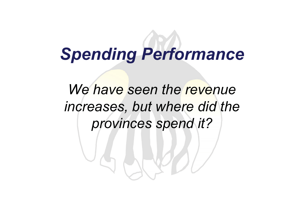# *Spending Performance*

We have seen the revenue *increases, but where did the provinces spend it?*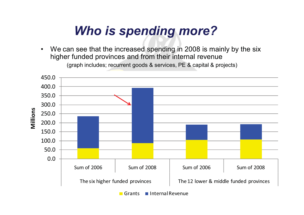## *Who is spending more?*

• We can see that the increased spending in 2008 is mainly by the six higher funded provinces and from their internal revenue (graph includes; recurrent goods & services, PE & capital & projects)



Grants Internal Revenue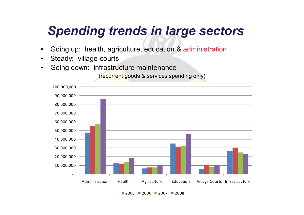## *Spending trends in large sectors*

- •Going up: health, agriculture, education & administration
- •Steady: village courts
- •Going down: infrastructure maintenance

(recurrent goods & services spending only)



2005 2006 2007 2008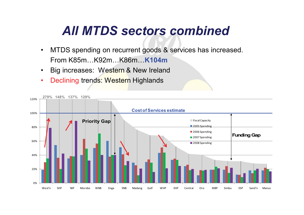#### *All MTDS sectors combined*

- $\bullet$  MTDS spending on recurrent goods & services has increased. From K85m…K92m…K86m…**K104m**
- $\bullet$ Big increases: Western & New Ireland
- •Declining trends: Western Highlands

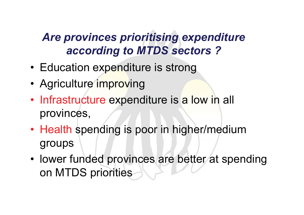#### *Are provinces prioritising expenditure according to MTDS sectors ?*

- Education expenditure is strong
- Agriculture improving
- Infrastructure expenditure is a low in all provinces,
- Health spending is poor in higher/medium groups
- lower funded provinces are better at spending on MTDS priorities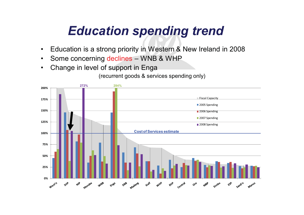## *Education spending trend*

- •Education is a strong priority in Western & New Ireland in 2008
- •Some concerning declines – WNB & WHP
- •Change in level of support in Enga

(recurrent goods & services spending only)

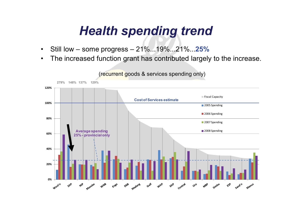#### *Health spending trend*

- •Still low – some progress – 21%...19%...21%...**25%**
- $\bullet$ The increased function grant has contributed largely to the increase.

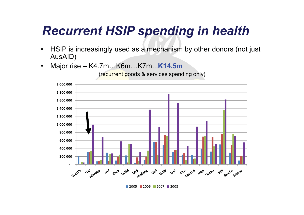## *Recurrent HSIP spending in health*

- • HSIP is increasingly used as a mechanism by other donors (not just AusAID)
- •Major rise – K4.7m…K6m…K7m...**K14.5m**

(recurrent goods & services spending only)



2005 2006 2007 2008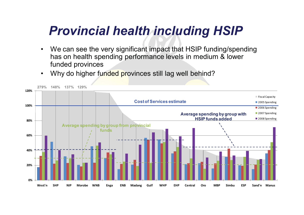## *Provincial health including HSIP*

- • We can see the very significant impact that HSIP funding/spending has on health spending performance levels in medium & lower funded provinces
- $\bullet$ Why do higher funded provinces still lag well behind?

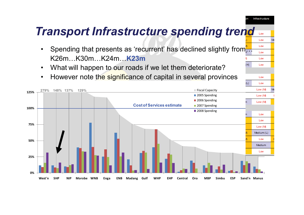#### *Transport Infrastructure spending trend*

Infrastructure

Low Low Low Low Low

Low

Low

 $(H)$ 

- •Spending that presents as 'recurrent' has declined slightly from... K26m…K30m…K24m…**K23m**
- •What will happen to our roads if we let them deteriorate?
- •However note the significance of capital in several provinces

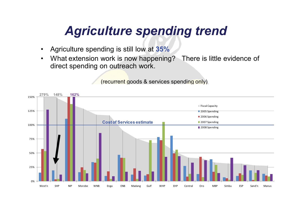## *Agriculture spending trend*

- •Agriculture spending is still low at **35%**
- • What extension work is now happening? There is little evidence of direct spending on outreach work.

(recurrent goods & services spending only)

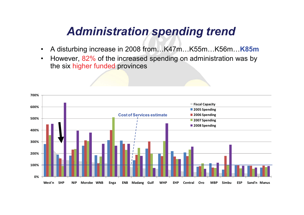#### *Administration spending trend*

- •A disturbing increase in 2008 from…K47m…K55m…K56m…**K85m**
- • However, 82% of the increased spending on administration was by the six higher funded provinces

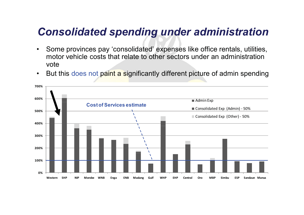#### *Consolidated spending under administration*

- $\bullet$  Some provinces pay 'consolidated' expenses like office rentals, utilities, motor vehicle costs that relate to other sectors under an administration vote
- $\bullet$ But this does not paint a significantly different picture of admin spending

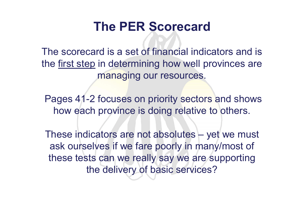#### **The PER Scorecard**

The scorecard is a set of financial indicators and is the first step in determining how well provinces are managing our resources.

Pages 41-2 focuses on priority sectors and shows how each province is doing relative to others.

These indicators are not absolutes – yet we must ask ourselves if we fare poorly in many/most of these tests can we really say we are supporting the delivery of basic services?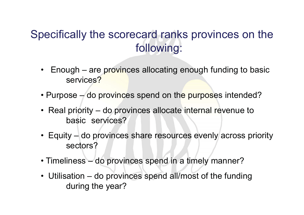#### Specifically the scorecard ranks provinces on the following:

- $\bullet$  Enough – are provinces allocating enough funding to basic services?
- Purpose do provinces spend on the purposes intended?
- Real priority do provinces allocate internal revenue to basic services?
- Equity do provinces share resources evenly across priority sectors?
- Timeliness do provinces spend in a timely manner?
- Utilisation do provinces spend all/most of the funding during the year?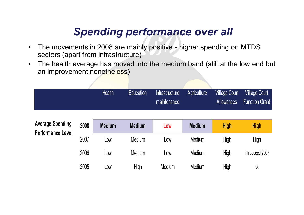#### *Spending performance over all*

- $\bullet$  The movements in 2008 are mainly positive - higher spending on MTDS sectors (apart from infrastructure)
- $\bullet$  The health average has moved into the medium band (still at the low end but an improvement nonetheless)

|                                                     |      | <b>Health</b> | <b>Education</b> | <b>Infrastructure</b><br>maintenance | Agriculture   | <b>Village Court</b><br><b>Allowances</b> | <b>Village Court</b><br><b>Function Grant</b> |
|-----------------------------------------------------|------|---------------|------------------|--------------------------------------|---------------|-------------------------------------------|-----------------------------------------------|
| <b>Average Spending</b><br><b>Performance Level</b> | 2008 | <b>Medium</b> | <b>Medium</b>    | Low                                  | <b>Medium</b> | <b>High</b>                               | <b>High</b>                                   |
|                                                     | 2007 | Low           | <b>Medium</b>    | Low                                  | Medium        | High                                      | High                                          |
|                                                     | 2006 | LOW           | <b>Medium</b>    | Low                                  | Medium        | High                                      | introduced 2007                               |
|                                                     | 2005 | LOW           | High             | Medium                               | Medium        | High                                      | n/a                                           |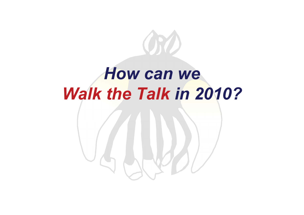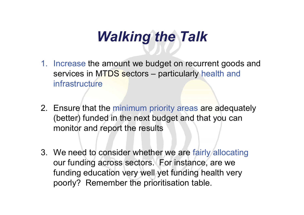## *Walking the Talk*

- 1. Increase the amount we budget on recurrent goods and services in MTDS sectors – particularly health and infrastructure
- 2. Ensure that the minimum priority areas are adequately (better) funded in the next budget and that you can monitor and report the results
- 3. We need to consider whether we are fairly allocating our funding across sectors. For instance, are we funding education very well yet funding health very poorly? Remember the prioritisation table.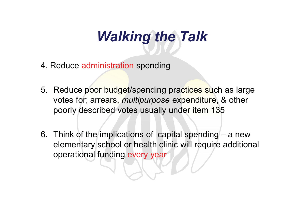# *Walking the Talk*

- 4. Reduce administration spending
- 5. Reduce poor budget/spending practices such as large votes for; arrears, *multipurpose* expenditure, & other poorly described votes usually under item 135
- 6. Think of the implications of capital spending a new elementary school or health clinic will require additional operational funding every year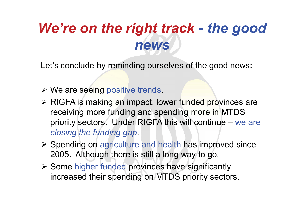## *We're on the right track - the good news*

Let's conclude by reminding ourselves of the good news:

- > We are seeing positive trends.
- > RIGFA is making an impact, lower funded provinces are receiving more funding and spending more in MTDS priority sectors. Under RIGFA this will continue – we are *closing the funding gap.*
- ▶ Spending on agriculture and health has improved since 2005. Although there is still a long way to go.
- **≻** Some higher funded provinces have significantly increased their spending on MTDS priority sectors.